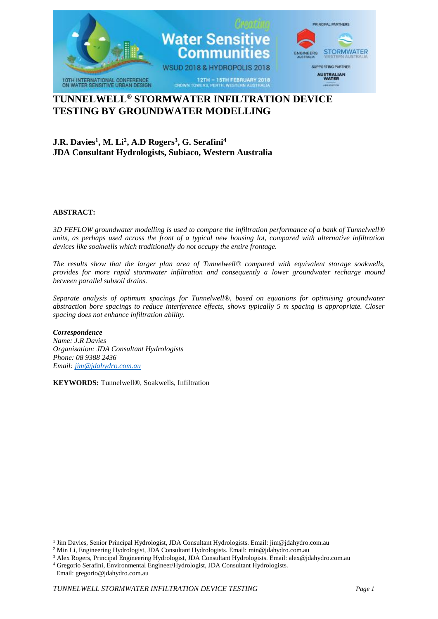

# **TUNNELWELL® STORMWATER INFILTRATION DEVICE TESTING BY GROUNDWATER MODELLING**

## **J.R. Davies<sup>1</sup> , M. Li<sup>2</sup> , A.D Rogers<sup>3</sup> , G. Serafini<sup>4</sup> JDA Consultant Hydrologists, Subiaco, Western Australia**

#### **ABSTRACT:**

*3D FEFLOW groundwater modelling is used to compare the infiltration performance of a bank of Tunnelwell® units, as perhaps used across the front of a typical new housing lot, compared with alternative infiltration devices like soakwells which traditionally do not occupy the entire frontage.*

*The results show that the larger plan area of Tunnelwell® compared with equivalent storage soakwells, provides for more rapid stormwater infiltration and consequently a lower groundwater recharge mound between parallel subsoil drains.*

*Separate analysis of optimum spacings for Tunnelwell®, based on equations for optimising groundwater abstraction bore spacings to reduce interference effects, shows typically 5 m spacing is appropriate. Closer spacing does not enhance infiltration ability.* 

#### *Correspondence*

*Name: J.R Davies Organisation: JDA Consultant Hydrologists Phone: 08 9388 2436 Email[: jim@jdahydro.com.au](mailto:jim@jdahydro.com.au)*

**KEYWORDS:** Tunnelwell®, Soakwells, Infiltration

<sup>1</sup> Jim Davies, Senior Principal Hydrologist, JDA Consultant Hydrologists. Email: jim@jdahydro.com.au

<sup>2</sup> Min Li, Engineering Hydrologist, JDA Consultant Hydrologists. Email: [min@jdahydro.com.au](mailto:min@jdahydro.com.au)

<sup>3</sup> Alex Rogers, Principal Engineering Hydrologist, JDA Consultant Hydrologists. Email: alex@jdahydro.com.au

<sup>4</sup> Gregorio Serafini, Environmental Engineer/Hydrologist, JDA Consultant Hydrologists. Email: gregorio@jdahydro.com.au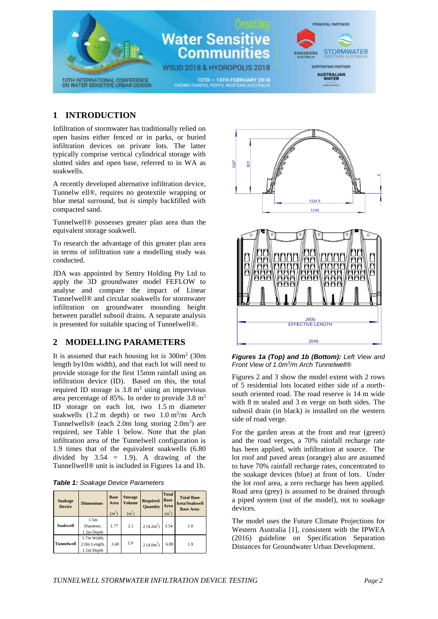

### **1 INTRODUCTION**

Infiltration of stormwater has traditionally relied on open basins either fenced or in parks, or buried infiltration devices on private lots. The latter typically comprise vertical cylindrical storage with slotted sides and open base, referred to in WA as soakwells.

A recently developed alternative infiltration device, Tunnelw ell®, requires no geotextile wrapping or blue metal surround, but is simply backfilled with compacted sand.

Tunnelwell® possesses greater plan area than the equivalent storage soakwell.

To research the advantage of this greater plan area in terms of infiltration rate a modelling study was conducted.

JDA was appointed by Sentry Holding Pty Ltd to apply the 3D groundwater model FEFLOW to analyse and compare the impact of Linear Tunnelwell® and circular soakwells for stormwater infiltration on groundwater mounding height between parallel subsoil drains. A separate analysis is presented for suitable spacing of Tunnelwell®.

#### **2 MODELLING PARAMETERS**

It is assumed that each housing lot is  $300m^2$  (30m length by10m width), and that each lot will need to provide storage for the first 15mm rainfall using an infiltration device (ID). Based on this, the total required ID storage is  $3.8 \text{ m}^3$  using an impervious area percentage of 85%. In order to provide  $3.8 \text{ m}^3$ ID storage on each lot, two 1.5 m diameter soakwells  $(1.2 \text{ m depth})$  or two  $1.0 \text{ m}^3/\text{m}$  Arch Tunnelwells® (each 2.0m long storing  $2.0 \text{m}^3$ ) are required, see Table 1 below. Note that the plan infiltration area of the Tunnelwell configuration is 1.9 times that of the equivalent soakwells (6.80 divided by  $3.54 = 1.9$ ). A drawing of the Tunnellwell® unit is included in Figures 1a and 1b.

| <b>Table 1:</b> Soakage Device Parameters |
|-------------------------------------------|
|-------------------------------------------|

| Soakage<br><b>Device</b> | <b>Dimensions</b>                         | <b>Base</b><br>Area<br>(m <sup>2</sup> ) | <b>Storage</b><br><b>Volume</b><br>$(m^3)$ | <b>Required</b><br><b>Quantity</b> | <b>Total</b><br><b>Base</b><br>Area<br>(m <sup>2</sup> ) | <b>Total Base</b><br><b>Area/Soakwell</b><br><b>Base Area</b> |
|--------------------------|-------------------------------------------|------------------------------------------|--------------------------------------------|------------------------------------|----------------------------------------------------------|---------------------------------------------------------------|
| <b>Soakwell</b>          | 1.5m<br>Diameter,<br>1.2m Depth           | 1.77                                     | 2.1                                        | $2(4.2m^3)$                        | 3.54                                                     | 1.0                                                           |
| <b>Tunnelwell</b>        | 1.7m Width,<br>2.0m Length,<br>1.1m Depth | 3.40                                     | 2.0                                        | $2(4.0m^3)$                        | 6.80                                                     | 1.9                                                           |



*Figures 1a (Top) and 1b (Bottom): Left View and Front View of 1.0m<sup>3</sup> /m Arch Tunnelwell®*

Figures 2 and 3 show the model extent with 2 rows of 5 residential lots located either side of a northsouth oriented road. The road reserve is 14 m wide with 8 m sealed and 3 m verge on both sides. The subsoil drain (in black) is installed on the western side of road verge.

For the garden areas at the front and rear (green) and the road verges, a 70% rainfall recharge rate has been applied, with infiltration at source. The lot roof and paved areas (orange) also are assumed to have 70% rainfall recharge rates, concentrated to the soakage devices (blue) at front of lots. Under the lot roof area, a zero recharge has been applied. Road area (grey) is assumed to be drained through a piped system (out of the model), not to soakage devices.

The model uses the Future Climate Projections for Western Australia [1], consistent with the IPWEA (2016) guideline on Specification Separation Distances for Groundwater Urban Development.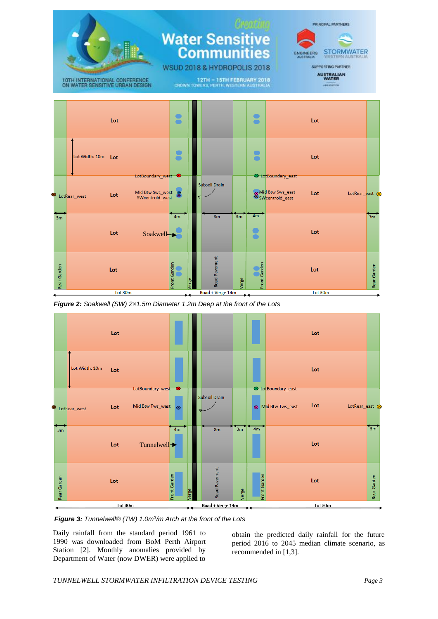

*Figure 2: Soakwell (SW) 2×1.5m Diameter 1.2m Deep at the front of the Lots*



*Figure 3: Tunnelwell® (TW) 1.0m<sup>3</sup> /m Arch at the front of the Lots*

Daily rainfall from the standard period 1961 to 1990 was downloaded from BoM Perth Airport Station [2]. Monthly anomalies provided by Department of Water (now DWER) were applied to

obtain the predicted daily rainfall for the future period 2016 to 2045 median climate scenario, as recommended in [1,3].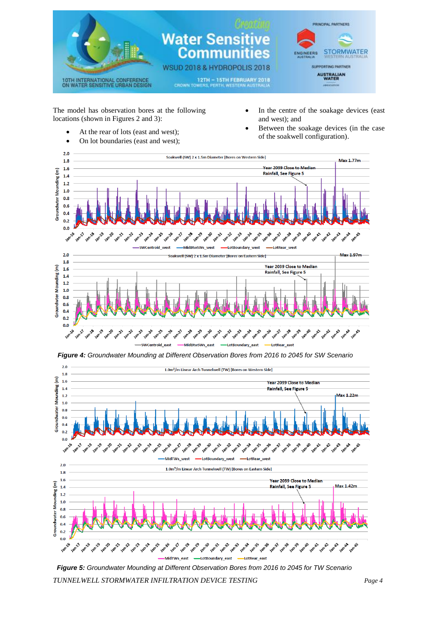

The model has observation bores at the following locations (shown in Figures 2 and 3):

- At the rear of lots (east and west);
- On lot boundaries (east and west);
- In the centre of the soakage devices (east and west); and
- Between the soakage devices (in the case of the soakwell configuration).



*Figure 4: Groundwater Mounding at Different Observation Bores from 2016 to 2045 for SW Scenario*



*Figure 5: Groundwater Mounding at Different Observation Bores from 2016 to 2045 for TW Scenario*

*TUNNELWELL STORMWATER INFILTRATION DEVICE TESTING Page 4*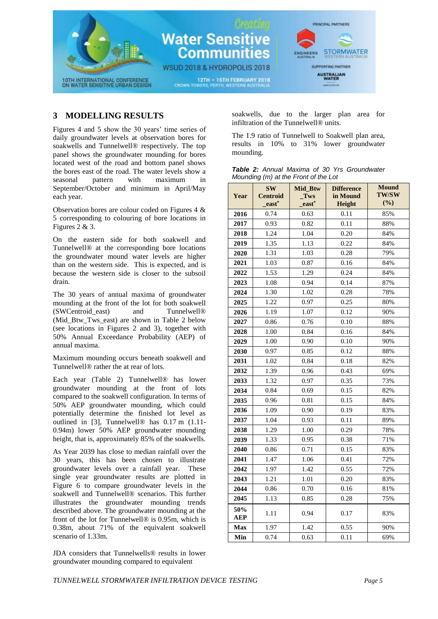

### **3 MODELLING RESULTS**

Figures 4 and 5 show the 30 years' time series of daily groundwater levels at observation bores for soakwells and Tunnelwell® respectively. The top panel shows the groundwater mounding for bores located west of the road and bottom panel shows the bores east of the road. The water levels show a<br>seasonal pattern with maximum in seasonal pattern with maximum in September/October and minimum in April/May each year.

Observation bores are colour coded on Figures 4 & 5 corresponding to colouring of bore locations in Figures 2 & 3.

On the eastern side for both soakwell and Tunnelwell® at the corresponding bore locations the groundwater mound water levels are higher than on the western side. This is expected, and is because the western side is closer to the subsoil drain.

The 30 years of annual maxima of groundwater mounding at the front of the lot for both soakwell (SWCentroid east) and Tunnelwell® (Mid Btw Tws east) are shown in Table 2 below (see locations in Figures 2 and 3), together with 50% Annual Exceedance Probability (AEP) of annual maxima.

Maximum mounding occurs beneath soakwell and Tunnelwell® rather the at rear of lots.

Each year (Table 2) Tunnelwell® has lower groundwater mounding at the front of lots compared to the soakwell configuration. In terms of 50% AEP groundwater mounding, which could potentially determine the finished lot level as outlined in [3], Tunnelwell® has 0.17 m (1.11- 0.94m) lower 50% AEP groundwater mounding height, that is, approximately 85% of the soakwells.

As Year 2039 has close to median rainfall over the 30 years, this has been chosen to illustrate groundwater levels over a rainfall year. These single year groundwater results are plotted in Figure 6 to compare groundwater levels in the soakwell and Tunnelwell® scenarios. This further illustrates the groundwater mounding trends described above. The groundwater mounding at the front of the lot for Tunnelwell® is 0.95m, which is 0.38m, about 71% of the equivalent soakwell scenario of 1.33m.

JDA considers that Tunnelwells® results in lower groundwater mounding compared to equivalent

soakwells, due to the larger plan area for infiltration of the Tunnelwell® units.

The 1.9 ratio of Tunnelwell to Soakwell plan area, results in 10% to 31% lower groundwater mounding.

|  |                                      |  | <b>Table 2:</b> Annual Maxima of 30 Yrs Groundwater |
|--|--------------------------------------|--|-----------------------------------------------------|
|  | Mounding (m) at the Front of the Lot |  |                                                     |

| Year              | <b>SW</b><br><b>Centroid</b><br>east <sup>*</sup> | Mid_Btw<br>Tws<br>east <sup>*</sup> | <b>Difference</b><br>in Mound<br>Height | <b>Mound</b><br><b>TW/SW</b><br>(%) |
|-------------------|---------------------------------------------------|-------------------------------------|-----------------------------------------|-------------------------------------|
| 2016              | 0.74                                              | 0.63                                | 0.11                                    | 85%                                 |
| 2017              | 0.93                                              | 0.82                                | 0.11                                    | 88%                                 |
| 2018              | 1.24                                              | 1.04                                | 0.20                                    | 84%                                 |
| 2019              | 1.35                                              | 1.13                                | 0.22                                    | 84%                                 |
| 2020              | 1.31                                              | 1.03                                | 0.28                                    | 79%                                 |
| 2021              | 1.03                                              | 0.87                                | 0.16                                    | 84%                                 |
| 2022              | 1.53                                              | 1.29                                | 0.24                                    | 84%                                 |
| 2023              | 1.08                                              | 0.94                                | 0.14                                    | 87%                                 |
| 2024              | 1.30                                              | 1.02                                | 0.28                                    | 78%                                 |
| 2025              | 1.22                                              | 0.97                                | 0.25                                    | 80%                                 |
| 2026              | 1.19                                              | 1.07                                | 0.12                                    | 90%                                 |
| 2027              | 0.86                                              | 0.76                                | 0.10                                    | 88%                                 |
| 2028              | 1.00                                              | 0.84                                | 0.16                                    | 84%                                 |
| 2029              | 1.00                                              | 0.90                                | 0.10                                    | 90%                                 |
| 2030              | 0.97                                              | 0.85                                | 0.12                                    | 88%                                 |
| 2031              | 1.02                                              | 0.84                                | 0.18                                    | 82%                                 |
| 2032              | 1.39                                              | 0.96                                | 0.43                                    | 69%                                 |
| 2033              | 1.32                                              | 0.97                                | 0.35                                    | 73%                                 |
| 2034              | 0.84                                              | 0.69                                | 0.15                                    | 82%                                 |
| 2035              | 0.96                                              | 0.81                                | 0.15                                    | 84%                                 |
| 2036              | 1.09                                              | 0.90                                | 0.19                                    | 83%                                 |
| 2037              | 1.04                                              | 0.93                                | 0.11                                    | 89%                                 |
| 2038              | 1.29                                              | 1.00                                | 0.29                                    | 78%                                 |
| 2039              | 1.33                                              | 0.95                                | 0.38                                    | 71%                                 |
| 2040              | 0.86                                              | 0.71                                | 0.15                                    | 83%                                 |
| 2041              | 1.47                                              | 1.06                                | 0.41                                    | 72%                                 |
| 2042              | 1.97                                              | 1.42                                | 0.55                                    | 72%                                 |
| 2043              | 1.21                                              | 1.01                                | 0.20                                    | 83%                                 |
| 2044              | 0.86                                              | 0.70                                | 0.16                                    | 81%                                 |
| 2045              | 1.13                                              | 0.85                                | 0.28                                    | 75%                                 |
| 50%<br><b>AEP</b> | 1.11                                              | 0.94                                | 0.17                                    | 83%                                 |
| <b>Max</b>        | 1.97                                              | 1.42                                | 0.55                                    | 90%                                 |
| Min               | 0.74                                              | 0.63                                | 0.11                                    | 69%                                 |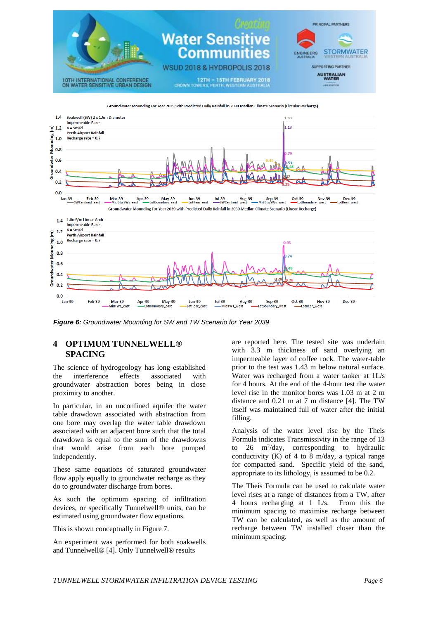

Groundwater Mounding For Year 2039 with Predicted Daily Rainfall in 2030 Median Climate Scenario (Circular Recharge)



*Figure 6: Groundwater Mounding for SW and TW Scenario for Year 2039*

#### **4 OPTIMUM TUNNELWELL® SPACING**

The science of hydrogeology has long established the interference effects associated with groundwater abstraction bores being in close proximity to another.

In particular, in an unconfined aquifer the water table drawdown associated with abstraction from one bore may overlap the water table drawdown associated with an adjacent bore such that the total drawdown is equal to the sum of the drawdowns that would arise from each bore pumped independently.

These same equations of saturated groundwater flow apply equally to groundwater recharge as they do to groundwater discharge from bores.

As such the optimum spacing of infiltration devices, or specifically Tunnelwell® units, can be estimated using groundwater flow equations.

This is shown conceptually in Figure 7.

An experiment was performed for both soakwells and Tunnelwell® [4]. Only Tunnelwell® results

are reported here. The tested site was underlain with 3.3 m thickness of sand overlying an impermeable layer of coffee rock. The water-table prior to the test was 1.43 m below natural surface. Water was recharged from a water tanker at 1L/s for 4 hours. At the end of the 4-hour test the water level rise in the monitor bores was 1.03 m at 2 m distance and 0.21 m at 7 m distance [4]. The TW itself was maintained full of water after the initial filling.

Analysis of the water level rise by the Theis Formula indicates Transmissivity in the range of 13 to  $26 \text{ m}^2/\text{day}$ , corresponding to hydraulic conductivity  $(K)$  of 4 to 8 m/day, a typical range for compacted sand. Specific yield of the sand, appropriate to its lithology, is assumed to be 0.2.

The Theis Formula can be used to calculate water level rises at a range of distances from a TW, after 4 hours recharging at 1 L/s. From this the minimum spacing to maximise recharge between TW can be calculated, as well as the amount of recharge between TW installed closer than the minimum spacing.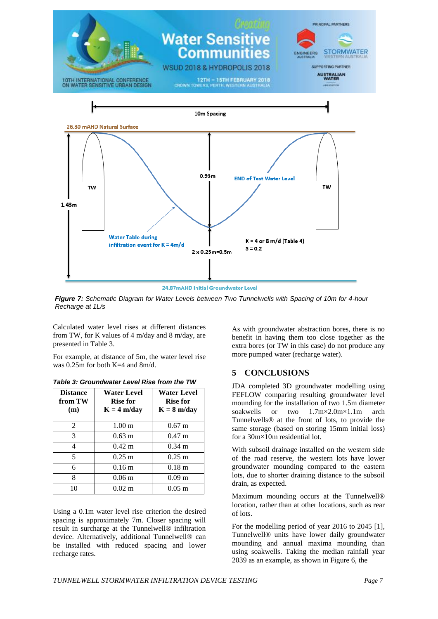

24.87mAHD Initial Groundwater Level

*Figure 7: Schematic Diagram for Water Levels between Two Tunnelwells with Spacing of 10m for 4-hour Recharge at 1L/s*

Calculated water level rises at different distances from TW, for K values of 4 m/day and 8 m/day, are presented in Table 3.

For example, at distance of 5m, the water level rise was 0.25m for both K=4 and 8m/d.

| <b>Distance</b><br>from TW<br>(m) | <b>Water Level</b><br>Rise for<br>$K = 4 m/day$ | <b>Water Level</b><br><b>Rise for</b><br>$K = 8$ m/day |
|-----------------------------------|-------------------------------------------------|--------------------------------------------------------|
| 2                                 | 1.00 <sub>m</sub>                               | $0.67 \;{\rm m}$                                       |
| 3                                 | $0.63 \; \mathrm{m}$                            | $0.47 \;{\rm m}$                                       |
| 4                                 | $0.42 \; \mathrm{m}$                            | $0.34 \; \mathrm{m}$                                   |
| 5                                 | $0.25 \; \mathrm{m}$                            | $0.25 \text{ m}$                                       |
| 6                                 | 0.16 <sub>m</sub>                               | 0.18 <sub>m</sub>                                      |
| 8                                 | $0.06$ m                                        | 0.09 <sub>m</sub>                                      |
| 10                                | $0.02 \; \mathrm{m}$                            | $0.05 \;{\rm m}$                                       |

*Table 3: Groundwater Level Rise from the TW*

Using a 0.1m water level rise criterion the desired spacing is approximately 7m. Closer spacing will result in surcharge at the Tunnelwell® infiltration device. Alternatively, additional Tunnelwell® can be installed with reduced spacing and lower recharge rates.

As with groundwater abstraction bores, there is no benefit in having them too close together as the extra bores (or TW in this case) do not produce any more pumped water (recharge water).

### **5 CONCLUSIONS**

JDA completed 3D groundwater modelling using FEFLOW comparing resulting groundwater level mounding for the installation of two 1.5m diameter soakwells or two 1.7m×2.0m×1.1m arch Tunnelwells® at the front of lots, to provide the same storage (based on storing 15mm initial loss) for a 30m×10m residential lot.

With subsoil drainage installed on the western side of the road reserve, the western lots have lower groundwater mounding compared to the eastern lots, due to shorter draining distance to the subsoil drain, as expected.

Maximum mounding occurs at the Tunnelwell® location, rather than at other locations, such as rear of lots.

For the modelling period of year 2016 to 2045 [1], Tunnelwell® units have lower daily groundwater mounding and annual maxima mounding than using soakwells. Taking the median rainfall year 2039 as an example, as shown in Figure 6, the